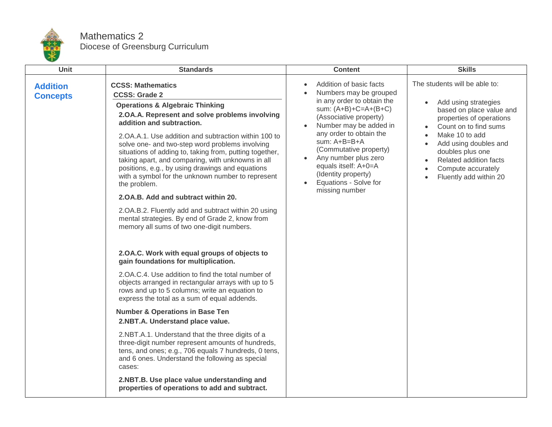

## Mathematics 2 Diocese of Greensburg Curriculum

| Unit                               | <b>Standards</b>                                                                                                                                                                                                                                                                                                                                                                                                                                                                                                                                                                                                                                                                                                                 | <b>Content</b>                                                                                                                                                                                                                                                                                                                                                                 | <b>Skills</b>                                                                                                                                                                                                                                                                   |
|------------------------------------|----------------------------------------------------------------------------------------------------------------------------------------------------------------------------------------------------------------------------------------------------------------------------------------------------------------------------------------------------------------------------------------------------------------------------------------------------------------------------------------------------------------------------------------------------------------------------------------------------------------------------------------------------------------------------------------------------------------------------------|--------------------------------------------------------------------------------------------------------------------------------------------------------------------------------------------------------------------------------------------------------------------------------------------------------------------------------------------------------------------------------|---------------------------------------------------------------------------------------------------------------------------------------------------------------------------------------------------------------------------------------------------------------------------------|
| <b>Addition</b><br><b>Concepts</b> | <b>CCSS: Mathematics</b><br><b>CCSS: Grade 2</b><br><b>Operations &amp; Algebraic Thinking</b><br>2.OA.A. Represent and solve problems involving<br>addition and subtraction.<br>2. OA.A.1. Use addition and subtraction within 100 to<br>solve one- and two-step word problems involving<br>situations of adding to, taking from, putting together,<br>taking apart, and comparing, with unknowns in all<br>positions, e.g., by using drawings and equations<br>with a symbol for the unknown number to represent<br>the problem.<br>2.OA.B. Add and subtract within 20.<br>2.OA.B.2. Fluently add and subtract within 20 using<br>mental strategies. By end of Grade 2, know from<br>memory all sums of two one-digit numbers. | Addition of basic facts<br>$\bullet$<br>Numbers may be grouped<br>in any order to obtain the<br>sum: $(A+B)+C=A+(B+C)$<br>(Associative property)<br>Number may be added in<br>any order to obtain the<br>sum: A+B=B+A<br>(Commutative property)<br>Any number plus zero<br>$\bullet$<br>equals itself: A+0=A<br>(Identity property)<br>Equations - Solve for<br>missing number | The students will be able to:<br>Add using strategies<br>based on place value and<br>properties of operations<br>Count on to find sums<br>Make 10 to add<br>Add using doubles and<br>doubles plus one<br>Related addition facts<br>Compute accurately<br>Fluently add within 20 |
|                                    | 2.OA.C. Work with equal groups of objects to<br>gain foundations for multiplication.<br>2.OA.C.4. Use addition to find the total number of<br>objects arranged in rectangular arrays with up to 5<br>rows and up to 5 columns; write an equation to<br>express the total as a sum of equal addends.<br><b>Number &amp; Operations in Base Ten</b><br>2.NBT.A. Understand place value.<br>2.NBT.A.1. Understand that the three digits of a<br>three-digit number represent amounts of hundreds,<br>tens, and ones; e.g., 706 equals 7 hundreds, 0 tens,<br>and 6 ones. Understand the following as special<br>cases:<br>2.NBT.B. Use place value understanding and<br>properties of operations to add and subtract.               |                                                                                                                                                                                                                                                                                                                                                                                |                                                                                                                                                                                                                                                                                 |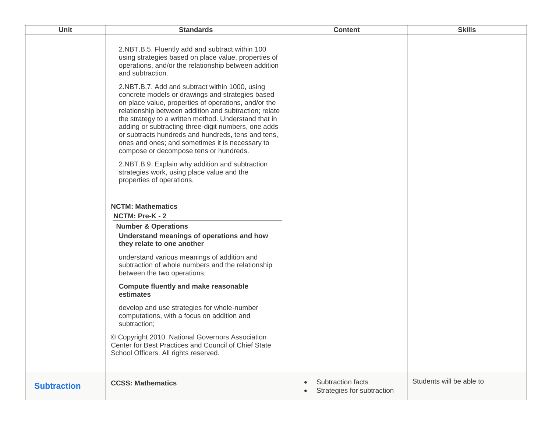| <b>Unit</b>        | <b>Standards</b>                                                                                                                                                                                                                                                                                                                                                                                                                                                                      | <b>Content</b>                                         | <b>Skills</b>            |
|--------------------|---------------------------------------------------------------------------------------------------------------------------------------------------------------------------------------------------------------------------------------------------------------------------------------------------------------------------------------------------------------------------------------------------------------------------------------------------------------------------------------|--------------------------------------------------------|--------------------------|
|                    | 2.NBT.B.5. Fluently add and subtract within 100<br>using strategies based on place value, properties of<br>operations, and/or the relationship between addition<br>and subtraction.                                                                                                                                                                                                                                                                                                   |                                                        |                          |
|                    | 2.NBT.B.7. Add and subtract within 1000, using<br>concrete models or drawings and strategies based<br>on place value, properties of operations, and/or the<br>relationship between addition and subtraction; relate<br>the strategy to a written method. Understand that in<br>adding or subtracting three-digit numbers, one adds<br>or subtracts hundreds and hundreds, tens and tens,<br>ones and ones; and sometimes it is necessary to<br>compose or decompose tens or hundreds. |                                                        |                          |
|                    | 2.NBT.B.9. Explain why addition and subtraction<br>strategies work, using place value and the<br>properties of operations.                                                                                                                                                                                                                                                                                                                                                            |                                                        |                          |
|                    | <b>NCTM: Mathematics</b><br>NCTM: Pre-K - 2                                                                                                                                                                                                                                                                                                                                                                                                                                           |                                                        |                          |
|                    | <b>Number &amp; Operations</b><br>Understand meanings of operations and how<br>they relate to one another                                                                                                                                                                                                                                                                                                                                                                             |                                                        |                          |
|                    | understand various meanings of addition and<br>subtraction of whole numbers and the relationship<br>between the two operations;                                                                                                                                                                                                                                                                                                                                                       |                                                        |                          |
|                    | <b>Compute fluently and make reasonable</b><br>estimates                                                                                                                                                                                                                                                                                                                                                                                                                              |                                                        |                          |
|                    | develop and use strategies for whole-number<br>computations, with a focus on addition and<br>subtraction;                                                                                                                                                                                                                                                                                                                                                                             |                                                        |                          |
|                    | © Copyright 2010. National Governors Association<br>Center for Best Practices and Council of Chief State<br>School Officers. All rights reserved.                                                                                                                                                                                                                                                                                                                                     |                                                        |                          |
| <b>Subtraction</b> | <b>CCSS: Mathematics</b>                                                                                                                                                                                                                                                                                                                                                                                                                                                              | <b>Subtraction facts</b><br>Strategies for subtraction | Students will be able to |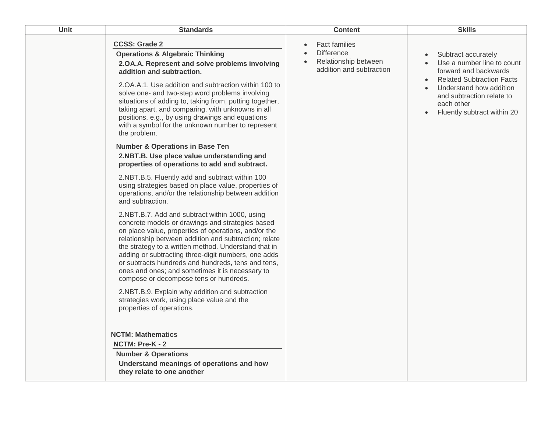| Unit | <b>Standards</b>                                                                                                                                                                                                                                                                                                                                                                                                                                                                                         | <b>Content</b>                                                                                | <b>Skills</b>                                                                                                                                                                                                                                                           |
|------|----------------------------------------------------------------------------------------------------------------------------------------------------------------------------------------------------------------------------------------------------------------------------------------------------------------------------------------------------------------------------------------------------------------------------------------------------------------------------------------------------------|-----------------------------------------------------------------------------------------------|-------------------------------------------------------------------------------------------------------------------------------------------------------------------------------------------------------------------------------------------------------------------------|
|      | <b>CCSS: Grade 2</b><br><b>Operations &amp; Algebraic Thinking</b><br>2.OA.A. Represent and solve problems involving<br>addition and subtraction.<br>2. OA. A. 1. Use addition and subtraction within 100 to<br>solve one- and two-step word problems involving<br>situations of adding to, taking from, putting together,<br>taking apart, and comparing, with unknowns in all<br>positions, e.g., by using drawings and equations<br>with a symbol for the unknown number to represent<br>the problem. | <b>Fact families</b><br><b>Difference</b><br>Relationship between<br>addition and subtraction | Subtract accurately<br>$\bullet$<br>Use a number line to count<br>$\bullet$<br>forward and backwards<br><b>Related Subtraction Facts</b><br>$\bullet$<br>Understand how addition<br>$\bullet$<br>and subtraction relate to<br>each other<br>Fluently subtract within 20 |
|      | <b>Number &amp; Operations in Base Ten</b><br>2.NBT.B. Use place value understanding and<br>properties of operations to add and subtract.                                                                                                                                                                                                                                                                                                                                                                |                                                                                               |                                                                                                                                                                                                                                                                         |
|      | 2.NBT.B.5. Fluently add and subtract within 100<br>using strategies based on place value, properties of<br>operations, and/or the relationship between addition<br>and subtraction.                                                                                                                                                                                                                                                                                                                      |                                                                                               |                                                                                                                                                                                                                                                                         |
|      | 2.NBT.B.7. Add and subtract within 1000, using<br>concrete models or drawings and strategies based<br>on place value, properties of operations, and/or the<br>relationship between addition and subtraction; relate<br>the strategy to a written method. Understand that in<br>adding or subtracting three-digit numbers, one adds<br>or subtracts hundreds and hundreds, tens and tens,<br>ones and ones; and sometimes it is necessary to<br>compose or decompose tens or hundreds.                    |                                                                                               |                                                                                                                                                                                                                                                                         |
|      | 2.NBT.B.9. Explain why addition and subtraction<br>strategies work, using place value and the<br>properties of operations.                                                                                                                                                                                                                                                                                                                                                                               |                                                                                               |                                                                                                                                                                                                                                                                         |
|      | <b>NCTM: Mathematics</b><br>NCTM: Pre-K - 2<br><b>Number &amp; Operations</b><br>Understand meanings of operations and how<br>they relate to one another                                                                                                                                                                                                                                                                                                                                                 |                                                                                               |                                                                                                                                                                                                                                                                         |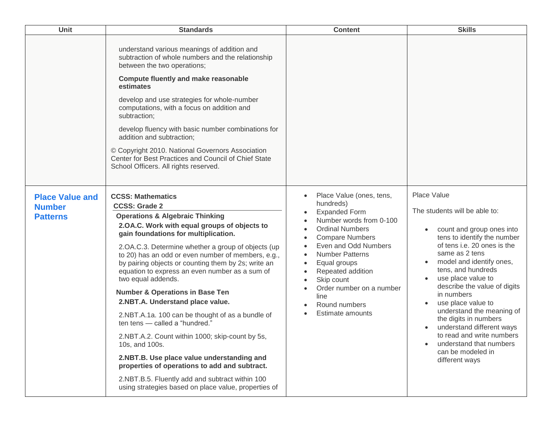| Unit                                                       | <b>Standards</b>                                                                                                                                                                                                                                                                                                                                                                                                                                                                                                                                                                                                                                                                                                                                                                                                                                                                         | <b>Content</b>                                                                                                                                                                                                                                                                                                             | <b>Skills</b>                                                                                                                                                                                                                                                                                                                                                                                                                                                                           |
|------------------------------------------------------------|------------------------------------------------------------------------------------------------------------------------------------------------------------------------------------------------------------------------------------------------------------------------------------------------------------------------------------------------------------------------------------------------------------------------------------------------------------------------------------------------------------------------------------------------------------------------------------------------------------------------------------------------------------------------------------------------------------------------------------------------------------------------------------------------------------------------------------------------------------------------------------------|----------------------------------------------------------------------------------------------------------------------------------------------------------------------------------------------------------------------------------------------------------------------------------------------------------------------------|-----------------------------------------------------------------------------------------------------------------------------------------------------------------------------------------------------------------------------------------------------------------------------------------------------------------------------------------------------------------------------------------------------------------------------------------------------------------------------------------|
|                                                            | understand various meanings of addition and<br>subtraction of whole numbers and the relationship<br>between the two operations;<br><b>Compute fluently and make reasonable</b><br>estimates<br>develop and use strategies for whole-number<br>computations, with a focus on addition and<br>subtraction;<br>develop fluency with basic number combinations for<br>addition and subtraction;<br>© Copyright 2010. National Governors Association<br>Center for Best Practices and Council of Chief State<br>School Officers. All rights reserved.                                                                                                                                                                                                                                                                                                                                         |                                                                                                                                                                                                                                                                                                                            |                                                                                                                                                                                                                                                                                                                                                                                                                                                                                         |
| <b>Place Value and</b><br><b>Number</b><br><b>Patterns</b> | <b>CCSS: Mathematics</b><br><b>CCSS: Grade 2</b><br><b>Operations &amp; Algebraic Thinking</b><br>2.OA.C. Work with equal groups of objects to<br>gain foundations for multiplication.<br>2.OA.C.3. Determine whether a group of objects (up<br>to 20) has an odd or even number of members, e.g.,<br>by pairing objects or counting them by 2s; write an<br>equation to express an even number as a sum of<br>two equal addends.<br><b>Number &amp; Operations in Base Ten</b><br>2.NBT.A. Understand place value.<br>2.NBT.A.1a. 100 can be thought of as a bundle of<br>ten tens - called a "hundred."<br>2.NBT.A.2. Count within 1000; skip-count by 5s,<br>10s, and 100s.<br>2.NBT.B. Use place value understanding and<br>properties of operations to add and subtract.<br>2.NBT.B.5. Fluently add and subtract within 100<br>using strategies based on place value, properties of | Place Value (ones, tens,<br>hundreds)<br><b>Expanded Form</b><br>Number words from 0-100<br><b>Ordinal Numbers</b><br><b>Compare Numbers</b><br>Even and Odd Numbers<br><b>Number Patterns</b><br>Equal groups<br>Repeated addition<br>Skip count<br>Order number on a number<br>line<br>Round numbers<br>Estimate amounts | Place Value<br>The students will be able to:<br>count and group ones into<br>tens to identify the number<br>of tens i.e. 20 ones is the<br>same as 2 tens<br>model and identify ones,<br>tens, and hundreds<br>use place value to<br>describe the value of digits<br>in numbers<br>use place value to<br>understand the meaning of<br>the digits in numbers<br>understand different ways<br>to read and write numbers<br>understand that numbers<br>can be modeled in<br>different ways |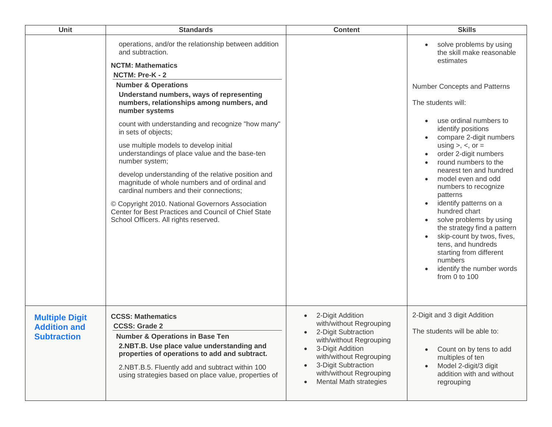| Unit                                                               | <b>Standards</b>                                                                                                                                                                                                                                                                                                                                                                                                                                                                                                                                                                                                                                                                                                                                                      | <b>Content</b>                                                                                                                                                                                                                                     | <b>Skills</b>                                                                                                                                                                                                                                                                                                                                                                                                                                                                                                                                                                                                     |
|--------------------------------------------------------------------|-----------------------------------------------------------------------------------------------------------------------------------------------------------------------------------------------------------------------------------------------------------------------------------------------------------------------------------------------------------------------------------------------------------------------------------------------------------------------------------------------------------------------------------------------------------------------------------------------------------------------------------------------------------------------------------------------------------------------------------------------------------------------|----------------------------------------------------------------------------------------------------------------------------------------------------------------------------------------------------------------------------------------------------|-------------------------------------------------------------------------------------------------------------------------------------------------------------------------------------------------------------------------------------------------------------------------------------------------------------------------------------------------------------------------------------------------------------------------------------------------------------------------------------------------------------------------------------------------------------------------------------------------------------------|
|                                                                    | operations, and/or the relationship between addition<br>and subtraction.<br><b>NCTM: Mathematics</b><br>NCTM: Pre-K - 2<br><b>Number &amp; Operations</b><br>Understand numbers, ways of representing<br>numbers, relationships among numbers, and<br>number systems<br>count with understanding and recognize "how many"<br>in sets of objects;<br>use multiple models to develop initial<br>understandings of place value and the base-ten<br>number system;<br>develop understanding of the relative position and<br>magnitude of whole numbers and of ordinal and<br>cardinal numbers and their connections;<br>© Copyright 2010. National Governors Association<br>Center for Best Practices and Council of Chief State<br>School Officers. All rights reserved. |                                                                                                                                                                                                                                                    | solve problems by using<br>the skill make reasonable<br>estimates<br>Number Concepts and Patterns<br>The students will:<br>use ordinal numbers to<br>identify positions<br>compare 2-digit numbers<br>using $>$ , $<$ , or $=$<br>order 2-digit numbers<br>round numbers to the<br>nearest ten and hundred<br>model even and odd<br>numbers to recognize<br>patterns<br>identify patterns on a<br>hundred chart<br>solve problems by using<br>the strategy find a pattern<br>skip-count by twos, fives,<br>tens, and hundreds<br>starting from different<br>numbers<br>identify the number words<br>from 0 to 100 |
| <b>Multiple Digit</b><br><b>Addition and</b><br><b>Subtraction</b> | <b>CCSS: Mathematics</b><br><b>CCSS: Grade 2</b><br><b>Number &amp; Operations in Base Ten</b><br>2.NBT.B. Use place value understanding and<br>properties of operations to add and subtract.<br>2.NBT.B.5. Fluently add and subtract within 100<br>using strategies based on place value, properties of                                                                                                                                                                                                                                                                                                                                                                                                                                                              | 2-Digit Addition<br>with/without Regrouping<br>2-Digit Subtraction<br>with/without Regrouping<br>3-Digit Addition<br>with/without Regrouping<br>3-Digit Subtraction<br>$\bullet$<br>with/without Regrouping<br>Mental Math strategies<br>$\bullet$ | 2-Digit and 3 digit Addition<br>The students will be able to:<br>Count on by tens to add<br>multiples of ten<br>Model 2-digit/3 digit<br>addition with and without<br>regrouping                                                                                                                                                                                                                                                                                                                                                                                                                                  |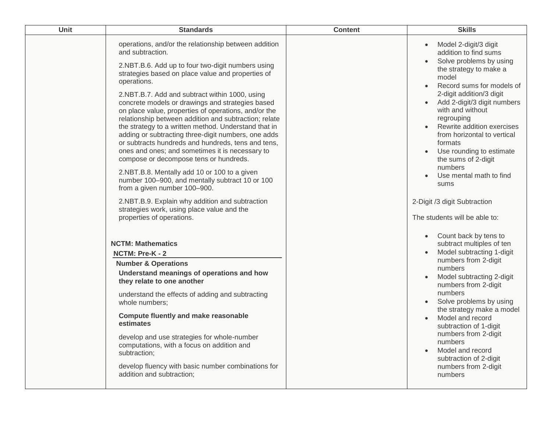| <b>Unit</b> | <b>Standards</b>                                                                                                                                                                                                                                                                                                                                                                                                                                                                                                                                                                                                                                                                                                                                                                                                                                                                                                               | <b>Content</b> | <b>Skills</b>                                                                                                                                                                                                                                                                                                                                                                                                                                   |
|-------------|--------------------------------------------------------------------------------------------------------------------------------------------------------------------------------------------------------------------------------------------------------------------------------------------------------------------------------------------------------------------------------------------------------------------------------------------------------------------------------------------------------------------------------------------------------------------------------------------------------------------------------------------------------------------------------------------------------------------------------------------------------------------------------------------------------------------------------------------------------------------------------------------------------------------------------|----------------|-------------------------------------------------------------------------------------------------------------------------------------------------------------------------------------------------------------------------------------------------------------------------------------------------------------------------------------------------------------------------------------------------------------------------------------------------|
|             | operations, and/or the relationship between addition<br>and subtraction.<br>2.NBT.B.6. Add up to four two-digit numbers using<br>strategies based on place value and properties of<br>operations.<br>2.NBT.B.7. Add and subtract within 1000, using<br>concrete models or drawings and strategies based<br>on place value, properties of operations, and/or the<br>relationship between addition and subtraction; relate<br>the strategy to a written method. Understand that in<br>adding or subtracting three-digit numbers, one adds<br>or subtracts hundreds and hundreds, tens and tens,<br>ones and ones; and sometimes it is necessary to<br>compose or decompose tens or hundreds.<br>2.NBT.B.8. Mentally add 10 or 100 to a given<br>number 100-900, and mentally subtract 10 or 100<br>from a given number 100-900.<br>2.NBT.B.9. Explain why addition and subtraction<br>strategies work, using place value and the |                | Model 2-digit/3 digit<br>addition to find sums<br>Solve problems by using<br>the strategy to make a<br>model<br>Record sums for models of<br>2-digit addition/3 digit<br>Add 2-digit/3 digit numbers<br>with and without<br>regrouping<br>Rewrite addition exercises<br>from horizontal to vertical<br>formats<br>Use rounding to estimate<br>the sums of 2-digit<br>numbers<br>Use mental math to find<br>sums<br>2-Digit /3 digit Subtraction |
|             | properties of operations.<br><b>NCTM: Mathematics</b><br>NCTM: Pre-K - 2<br><b>Number &amp; Operations</b><br>Understand meanings of operations and how<br>they relate to one another<br>understand the effects of adding and subtracting<br>whole numbers;<br><b>Compute fluently and make reasonable</b><br>estimates<br>develop and use strategies for whole-number<br>computations, with a focus on addition and<br>subtraction;<br>develop fluency with basic number combinations for<br>addition and subtraction;                                                                                                                                                                                                                                                                                                                                                                                                        |                | The students will be able to:<br>Count back by tens to<br>subtract multiples of ten<br>Model subtracting 1-digit<br>numbers from 2-digit<br>numbers<br>Model subtracting 2-digit<br>numbers from 2-digit<br>numbers<br>Solve problems by using<br>the strategy make a model<br>Model and record<br>subtraction of 1-digit<br>numbers from 2-digit<br>numbers<br>Model and record<br>subtraction of 2-digit<br>numbers from 2-digit<br>numbers   |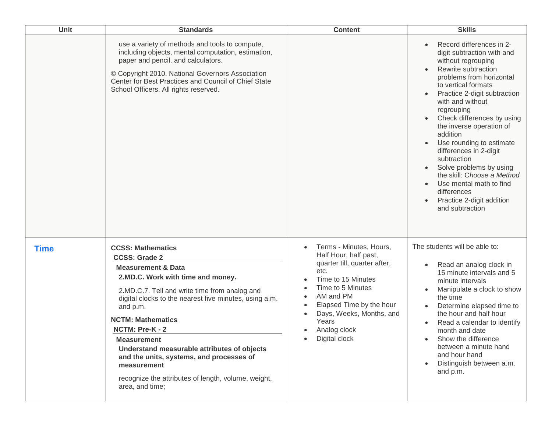| Unit        | <b>Standards</b>                                                                                                                                                                                                                                                                                                                                                                                                                                                                                       | <b>Content</b>                                                                                                                                                                                                                                     | <b>Skills</b>                                                                                                                                                                                                                                                                                                                                                                                                                                                                                                                       |
|-------------|--------------------------------------------------------------------------------------------------------------------------------------------------------------------------------------------------------------------------------------------------------------------------------------------------------------------------------------------------------------------------------------------------------------------------------------------------------------------------------------------------------|----------------------------------------------------------------------------------------------------------------------------------------------------------------------------------------------------------------------------------------------------|-------------------------------------------------------------------------------------------------------------------------------------------------------------------------------------------------------------------------------------------------------------------------------------------------------------------------------------------------------------------------------------------------------------------------------------------------------------------------------------------------------------------------------------|
|             | use a variety of methods and tools to compute,<br>including objects, mental computation, estimation,<br>paper and pencil, and calculators.<br>© Copyright 2010. National Governors Association<br>Center for Best Practices and Council of Chief State<br>School Officers. All rights reserved.                                                                                                                                                                                                        |                                                                                                                                                                                                                                                    | Record differences in 2-<br>digit subtraction with and<br>without regrouping<br>Rewrite subtraction<br>problems from horizontal<br>to vertical formats<br>Practice 2-digit subtraction<br>with and without<br>regrouping<br>Check differences by using<br>the inverse operation of<br>addition<br>Use rounding to estimate<br>differences in 2-digit<br>subtraction<br>Solve problems by using<br>the skill: Choose a Method<br>Use mental math to find<br>$\bullet$<br>differences<br>Practice 2-digit addition<br>and subtraction |
| <b>Time</b> | <b>CCSS: Mathematics</b><br><b>CCSS: Grade 2</b><br><b>Measurement &amp; Data</b><br>2.MD.C. Work with time and money.<br>2.MD.C.7. Tell and write time from analog and<br>digital clocks to the nearest five minutes, using a.m.<br>and p.m.<br><b>NCTM: Mathematics</b><br>NCTM: Pre-K - 2<br><b>Measurement</b><br>Understand measurable attributes of objects<br>and the units, systems, and processes of<br>measurement<br>recognize the attributes of length, volume, weight,<br>area, and time; | Terms - Minutes, Hours,<br>Half Hour, half past,<br>quarter till, quarter after,<br>etc.<br>Time to 15 Minutes<br>Time to 5 Minutes<br>AM and PM<br>Elapsed Time by the hour<br>Days, Weeks, Months, and<br>Years<br>Analog clock<br>Digital clock | The students will be able to:<br>Read an analog clock in<br>15 minute intervals and 5<br>minute intervals<br>Manipulate a clock to show<br>the time<br>Determine elapsed time to<br>the hour and half hour<br>Read a calendar to identify<br>month and date<br>Show the difference<br>between a minute hand<br>and hour hand<br>Distinguish between a.m.<br>and p.m.                                                                                                                                                                |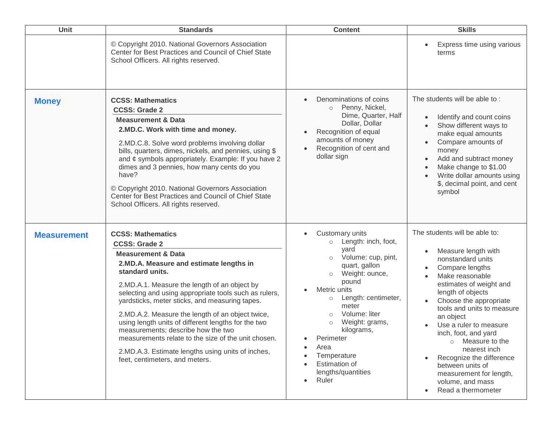| Unit               | <b>Standards</b>                                                                                                                                                                                                                                                                                                                                                                                                                                                                                                                                                                                          | <b>Content</b>                                                                                                                                                                                                                                                                                                                                                            | <b>Skills</b>                                                                                                                                                                                                                                                                                                                                                                                                                                 |
|--------------------|-----------------------------------------------------------------------------------------------------------------------------------------------------------------------------------------------------------------------------------------------------------------------------------------------------------------------------------------------------------------------------------------------------------------------------------------------------------------------------------------------------------------------------------------------------------------------------------------------------------|---------------------------------------------------------------------------------------------------------------------------------------------------------------------------------------------------------------------------------------------------------------------------------------------------------------------------------------------------------------------------|-----------------------------------------------------------------------------------------------------------------------------------------------------------------------------------------------------------------------------------------------------------------------------------------------------------------------------------------------------------------------------------------------------------------------------------------------|
|                    | © Copyright 2010. National Governors Association<br>Center for Best Practices and Council of Chief State<br>School Officers. All rights reserved.                                                                                                                                                                                                                                                                                                                                                                                                                                                         |                                                                                                                                                                                                                                                                                                                                                                           | Express time using various<br>terms                                                                                                                                                                                                                                                                                                                                                                                                           |
| <b>Money</b>       | <b>CCSS: Mathematics</b><br><b>CCSS: Grade 2</b><br><b>Measurement &amp; Data</b><br>2.MD.C. Work with time and money.<br>2.MD.C.8. Solve word problems involving dollar<br>bills, quarters, dimes, nickels, and pennies, using \$<br>and ¢ symbols appropriately. Example: If you have 2<br>dimes and 3 pennies, how many cents do you<br>have?<br>© Copyright 2010. National Governors Association<br>Center for Best Practices and Council of Chief State<br>School Officers. All rights reserved.                                                                                                     | Denominations of coins<br>Penny, Nickel,<br>$\circ$<br>Dime, Quarter, Half<br>Dollar, Dollar<br>Recognition of equal<br>amounts of money<br>Recognition of cent and<br>dollar sign                                                                                                                                                                                        | The students will be able to:<br>Identify and count coins<br>Show different ways to<br>make equal amounts<br>Compare amounts of<br>money<br>Add and subtract money<br>Make change to \$1.00<br>Write dollar amounts using<br>\$, decimal point, and cent<br>symbol                                                                                                                                                                            |
| <b>Measurement</b> | <b>CCSS: Mathematics</b><br><b>CCSS: Grade 2</b><br><b>Measurement &amp; Data</b><br>2.MD.A. Measure and estimate lengths in<br>standard units.<br>2.MD.A.1. Measure the length of an object by<br>selecting and using appropriate tools such as rulers,<br>yardsticks, meter sticks, and measuring tapes.<br>2.MD.A.2. Measure the length of an object twice,<br>using length units of different lengths for the two<br>measurements; describe how the two<br>measurements relate to the size of the unit chosen.<br>2.MD.A.3. Estimate lengths using units of inches,<br>feet, centimeters, and meters. | Customary units<br>Length: inch, foot,<br>vard<br>Volume: cup, pint,<br>$\circ$<br>quart, gallon<br>Weight: ounce,<br>$\circ$<br>pound<br>Metric units<br>Length: centimeter,<br>$\circ$<br>meter<br>Volume: liter<br>$\circ$<br>Weight: grams,<br>$\circ$<br>kilograms,<br>Perimeter<br>Area<br>Temperature<br>Estimation of<br>lengths/quantities<br>Ruler<br>$\bullet$ | The students will be able to:<br>Measure length with<br>nonstandard units<br>Compare lengths<br>Make reasonable<br>estimates of weight and<br>length of objects<br>Choose the appropriate<br>tools and units to measure<br>an object<br>Use a ruler to measure<br>inch, foot, and yard<br>Measure to the<br>nearest inch<br>Recognize the difference<br>between units of<br>measurement for length,<br>volume, and mass<br>Read a thermometer |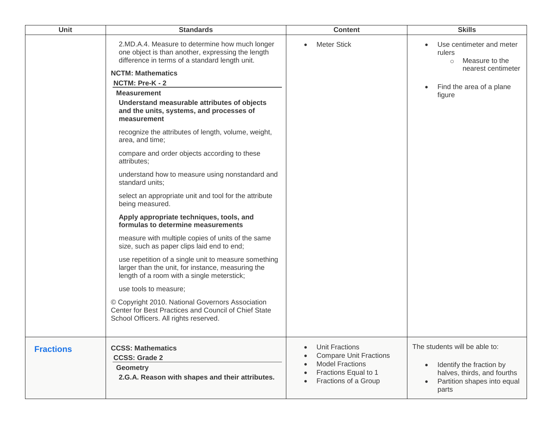| <b>Unit</b>      | <b>Standards</b>                                                                                                                                                                                                                                                                                                                                                                                                                                                                                                                                                                                                                                                                                                                                                                                                                                                                                                                                                                                                                                                                                                                                              | <b>Content</b>                                                                                                                   | <b>Skills</b>                                                                                                                    |
|------------------|---------------------------------------------------------------------------------------------------------------------------------------------------------------------------------------------------------------------------------------------------------------------------------------------------------------------------------------------------------------------------------------------------------------------------------------------------------------------------------------------------------------------------------------------------------------------------------------------------------------------------------------------------------------------------------------------------------------------------------------------------------------------------------------------------------------------------------------------------------------------------------------------------------------------------------------------------------------------------------------------------------------------------------------------------------------------------------------------------------------------------------------------------------------|----------------------------------------------------------------------------------------------------------------------------------|----------------------------------------------------------------------------------------------------------------------------------|
|                  | 2.MD.A.4. Measure to determine how much longer<br>one object is than another, expressing the length<br>difference in terms of a standard length unit.<br><b>NCTM: Mathematics</b><br>NCTM: Pre-K - 2<br><b>Measurement</b><br>Understand measurable attributes of objects<br>and the units, systems, and processes of<br>measurement<br>recognize the attributes of length, volume, weight,<br>area, and time;<br>compare and order objects according to these<br>attributes;<br>understand how to measure using nonstandard and<br>standard units:<br>select an appropriate unit and tool for the attribute<br>being measured.<br>Apply appropriate techniques, tools, and<br>formulas to determine measurements<br>measure with multiple copies of units of the same<br>size, such as paper clips laid end to end;<br>use repetition of a single unit to measure something<br>larger than the unit, for instance, measuring the<br>length of a room with a single meterstick;<br>use tools to measure;<br>© Copyright 2010. National Governors Association<br>Center for Best Practices and Council of Chief State<br>School Officers. All rights reserved. | <b>Meter Stick</b>                                                                                                               | Use centimeter and meter<br>rulers<br>Measure to the<br>$\circ$<br>nearest centimeter<br>Find the area of a plane<br>figure      |
| <b>Fractions</b> | <b>CCSS: Mathematics</b><br><b>CCSS: Grade 2</b><br><b>Geometry</b><br>2.G.A. Reason with shapes and their attributes.                                                                                                                                                                                                                                                                                                                                                                                                                                                                                                                                                                                                                                                                                                                                                                                                                                                                                                                                                                                                                                        | <b>Unit Fractions</b><br><b>Compare Unit Fractions</b><br><b>Model Fractions</b><br>Fractions Equal to 1<br>Fractions of a Group | The students will be able to:<br>Identify the fraction by<br>halves, thirds, and fourths<br>Partition shapes into equal<br>parts |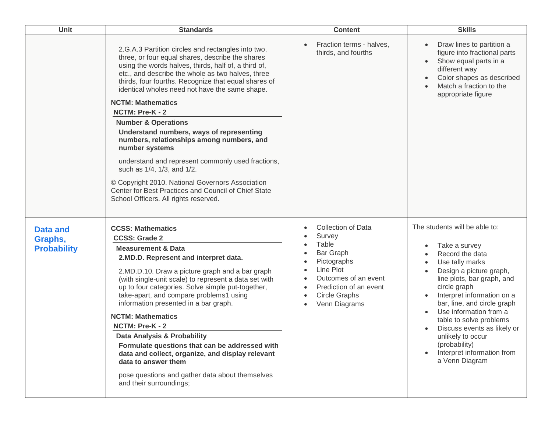| <b>Unit</b>                                      | <b>Standards</b>                                                                                                                                                                                                                                                                                                                                                                                                                                                                                                                                                                                                                                                                                                                                                  | <b>Content</b>                                                                                                                                                                   | <b>Skills</b>                                                                                                                                                                                                                                                                                                                                                                                        |
|--------------------------------------------------|-------------------------------------------------------------------------------------------------------------------------------------------------------------------------------------------------------------------------------------------------------------------------------------------------------------------------------------------------------------------------------------------------------------------------------------------------------------------------------------------------------------------------------------------------------------------------------------------------------------------------------------------------------------------------------------------------------------------------------------------------------------------|----------------------------------------------------------------------------------------------------------------------------------------------------------------------------------|------------------------------------------------------------------------------------------------------------------------------------------------------------------------------------------------------------------------------------------------------------------------------------------------------------------------------------------------------------------------------------------------------|
|                                                  | 2.G.A.3 Partition circles and rectangles into two,<br>three, or four equal shares, describe the shares<br>using the words halves, thirds, half of, a third of,<br>etc., and describe the whole as two halves, three<br>thirds, four fourths. Recognize that equal shares of<br>identical wholes need not have the same shape.<br><b>NCTM: Mathematics</b><br>NCTM: Pre-K - 2<br><b>Number &amp; Operations</b><br>Understand numbers, ways of representing<br>numbers, relationships among numbers, and<br>number systems<br>understand and represent commonly used fractions,<br>such as 1/4, 1/3, and 1/2.<br>© Copyright 2010. National Governors Association<br>Center for Best Practices and Council of Chief State<br>School Officers. All rights reserved. | Fraction terms - halves,<br>thirds, and fourths                                                                                                                                  | Draw lines to partition a<br>figure into fractional parts<br>Show equal parts in a<br>different way<br>Color shapes as described<br>Match a fraction to the<br>appropriate figure                                                                                                                                                                                                                    |
| <b>Data and</b><br>Graphs,<br><b>Probability</b> | <b>CCSS: Mathematics</b><br><b>CCSS: Grade 2</b><br><b>Measurement &amp; Data</b><br>2.MD.D. Represent and interpret data.<br>2.MD.D.10. Draw a picture graph and a bar graph<br>(with single-unit scale) to represent a data set with<br>up to four categories. Solve simple put-together,<br>take-apart, and compare problems1 using<br>information presented in a bar graph.<br><b>NCTM: Mathematics</b><br>NCTM: Pre-K - 2<br><b>Data Analysis &amp; Probability</b><br>Formulate questions that can be addressed with<br>data and collect, organize, and display relevant<br>data to answer them<br>pose questions and gather data about themselves<br>and their surroundings;                                                                               | <b>Collection of Data</b><br>Survey<br>Table<br>Bar Graph<br>Pictographs<br>Line Plot<br>Outcomes of an event<br>Prediction of an event<br><b>Circle Graphs</b><br>Venn Diagrams | The students will be able to:<br>Take a survey<br>Record the data<br>Use tally marks<br>Design a picture graph,<br>line plots, bar graph, and<br>circle graph<br>Interpret information on a<br>bar, line, and circle graph<br>Use information from a<br>table to solve problems<br>Discuss events as likely or<br>unlikely to occur<br>(probability)<br>Interpret information from<br>a Venn Diagram |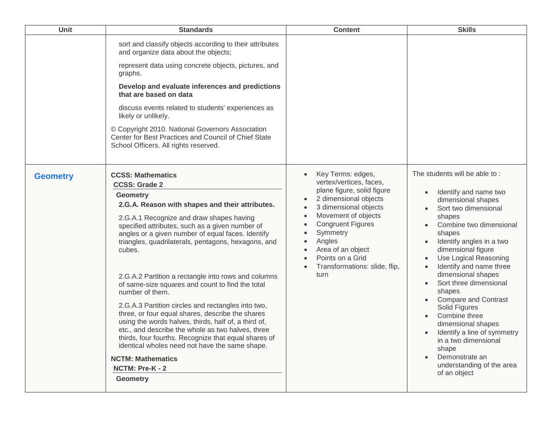| Unit            | <b>Standards</b>                                                                                                                                                                                                                                                                                                                                                                                                                                                                                                                                                                                                                                                                                                                                                                                                                                                             | <b>Content</b>                                                                                                                                                                                                                                                                                                                              | <b>Skills</b>                                                                                                                                                                                                                                                                                                                                                                                                                                                                                                                                          |
|-----------------|------------------------------------------------------------------------------------------------------------------------------------------------------------------------------------------------------------------------------------------------------------------------------------------------------------------------------------------------------------------------------------------------------------------------------------------------------------------------------------------------------------------------------------------------------------------------------------------------------------------------------------------------------------------------------------------------------------------------------------------------------------------------------------------------------------------------------------------------------------------------------|---------------------------------------------------------------------------------------------------------------------------------------------------------------------------------------------------------------------------------------------------------------------------------------------------------------------------------------------|--------------------------------------------------------------------------------------------------------------------------------------------------------------------------------------------------------------------------------------------------------------------------------------------------------------------------------------------------------------------------------------------------------------------------------------------------------------------------------------------------------------------------------------------------------|
|                 | sort and classify objects according to their attributes<br>and organize data about the objects;<br>represent data using concrete objects, pictures, and<br>graphs.<br>Develop and evaluate inferences and predictions<br>that are based on data<br>discuss events related to students' experiences as<br>likely or unlikely.<br>© Copyright 2010. National Governors Association<br>Center for Best Practices and Council of Chief State<br>School Officers. All rights reserved.                                                                                                                                                                                                                                                                                                                                                                                            |                                                                                                                                                                                                                                                                                                                                             |                                                                                                                                                                                                                                                                                                                                                                                                                                                                                                                                                        |
| <b>Geometry</b> | <b>CCSS: Mathematics</b><br><b>CCSS: Grade 2</b><br><b>Geometry</b><br>2.G.A. Reason with shapes and their attributes.<br>2.G.A.1 Recognize and draw shapes having<br>specified attributes, such as a given number of<br>angles or a given number of equal faces. Identify<br>triangles, quadrilaterals, pentagons, hexagons, and<br>cubes.<br>2.G.A.2 Partition a rectangle into rows and columns<br>of same-size squares and count to find the total<br>number of them.<br>2.G.A.3 Partition circles and rectangles into two,<br>three, or four equal shares, describe the shares<br>using the words halves, thirds, half of, a third of,<br>etc., and describe the whole as two halves, three<br>thirds, four fourths. Recognize that equal shares of<br>identical wholes need not have the same shape.<br><b>NCTM: Mathematics</b><br>NCTM: Pre-K - 2<br><b>Geometry</b> | Key Terms: edges,<br>vertex/vertices, faces,<br>plane figure, solid figure<br>2 dimensional objects<br>$\bullet$<br>3 dimensional objects<br>$\bullet$<br>Movement of objects<br>$\bullet$<br><b>Congruent Figures</b><br>Symmetry<br>Angles<br>$\bullet$<br>Area of an object<br>Points on a Grid<br>Transformations: slide, flip,<br>turn | The students will be able to:<br>Identify and name two<br>dimensional shapes<br>Sort two dimensional<br>shapes<br>Combine two dimensional<br>shapes<br>Identify angles in a two<br>dimensional figure<br>Use Logical Reasoning<br>Identify and name three<br>dimensional shapes<br>Sort three dimensional<br>shapes<br><b>Compare and Contrast</b><br>Solid Figures<br>Combine three<br>dimensional shapes<br>Identify a line of symmetry<br>$\bullet$<br>in a two dimensional<br>shape<br>Demonstrate an<br>understanding of the area<br>of an object |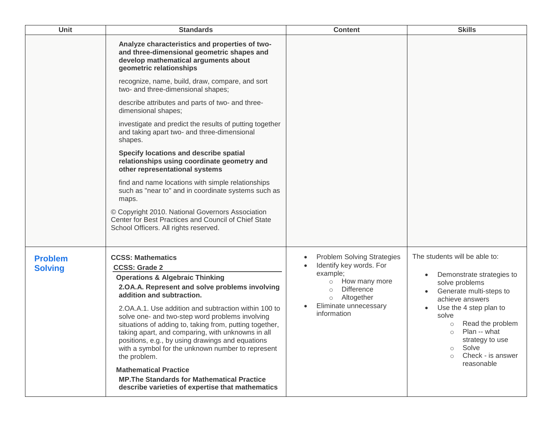| Unit                             | <b>Standards</b>                                                                                                                                                                                                                                                                                                                                                                                                                                                                                                                                                                                                                                                             | <b>Content</b>                                                                                                                                                                                        | <b>Skills</b>                                                                                                                                                                                                                                                                                                |
|----------------------------------|------------------------------------------------------------------------------------------------------------------------------------------------------------------------------------------------------------------------------------------------------------------------------------------------------------------------------------------------------------------------------------------------------------------------------------------------------------------------------------------------------------------------------------------------------------------------------------------------------------------------------------------------------------------------------|-------------------------------------------------------------------------------------------------------------------------------------------------------------------------------------------------------|--------------------------------------------------------------------------------------------------------------------------------------------------------------------------------------------------------------------------------------------------------------------------------------------------------------|
|                                  | Analyze characteristics and properties of two-<br>and three-dimensional geometric shapes and<br>develop mathematical arguments about<br>geometric relationships<br>recognize, name, build, draw, compare, and sort<br>two- and three-dimensional shapes;<br>describe attributes and parts of two- and three-<br>dimensional shapes;<br>investigate and predict the results of putting together<br>and taking apart two- and three-dimensional<br>shapes.                                                                                                                                                                                                                     |                                                                                                                                                                                                       |                                                                                                                                                                                                                                                                                                              |
|                                  | Specify locations and describe spatial<br>relationships using coordinate geometry and<br>other representational systems<br>find and name locations with simple relationships<br>such as "near to" and in coordinate systems such as<br>maps.<br>© Copyright 2010. National Governors Association<br>Center for Best Practices and Council of Chief State<br>School Officers. All rights reserved.                                                                                                                                                                                                                                                                            |                                                                                                                                                                                                       |                                                                                                                                                                                                                                                                                                              |
| <b>Problem</b><br><b>Solving</b> | <b>CCSS: Mathematics</b><br><b>CCSS: Grade 2</b><br><b>Operations &amp; Algebraic Thinking</b><br>2.OA.A. Represent and solve problems involving<br>addition and subtraction.<br>2. OA.A.1. Use addition and subtraction within 100 to<br>solve one- and two-step word problems involving<br>situations of adding to, taking from, putting together,<br>taking apart, and comparing, with unknowns in all<br>positions, e.g., by using drawings and equations<br>with a symbol for the unknown number to represent<br>the problem.<br><b>Mathematical Practice</b><br><b>MP. The Standards for Mathematical Practice</b><br>describe varieties of expertise that mathematics | <b>Problem Solving Strategies</b><br>Identify key words. For<br>example;<br>How many more<br>$\circ$<br><b>Difference</b><br>$\circ$<br>Altogether<br>$\circ$<br>Eliminate unnecessary<br>information | The students will be able to:<br>Demonstrate strategies to<br>solve problems<br>Generate multi-steps to<br>achieve answers<br>Use the 4 step plan to<br>solve<br>Read the problem<br>$\circ$<br>Plan -- what<br>$\circ$<br>strategy to use<br>Solve<br>$\circ$<br>Check - is answer<br>$\circ$<br>reasonable |